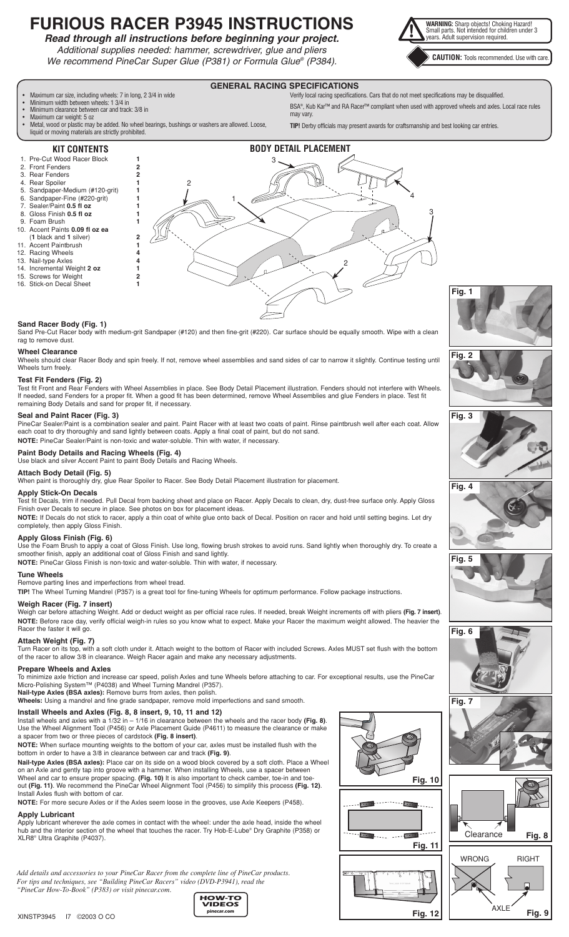# **FURIOUS RACER P3945 INSTRUCTIONS**



*Additional supplies needed: hammer, screwdriver, glue and pliers We recommend PineCar Super Glue (P381) or Formula Glue® (P384).*



**CAUTION:** Tools recommended. Use with care.

# **GENERAL RACING SPECIFICATIONS**

• Maximum car size, including wheels: 7 in long, 2 3/4 in wide

- Minimum width between wheels: 1 3/4 in
- Minimum clearance between car and track: 3/8 in • Maximum car weight: 5 oz
- Metal, wood or plastic may be added. No wheel bearings, bushings or washers are allowed. Loose, liquid or moving materials are strictly prohibited.

Verify local racing specifications. Cars that do not meet specifications may be disqualified. BSA®, Kub Kar™ and RA Racer™ compliant when used with approved wheels and axles. Local race rules may vary.

**TIP!** Derby officials may present awards for craftsmanship and best looking car entries.

# **KIT CONTENTS**

- 1. Pre-Cut Wood Racer Block **1** 2. Front Fenders **2**
- 3. Rear Fenders **2**
- 4. Rear Spoiler **1**
- 5. Sandpaper-Medium (#120-grit) **1**
- 6. Sandpaper-Fine (#220-grit) **1**
- Sealer/Paint **0.5 fl oz** 8. Gloss Finish 0.5 fl oz
- 9. Foam Brush
- 10. Accent Paints **0.09 fl oz ea**
- (**1** black and **1** silver) **2**
- 11. Accent Paintbrush **1**
- Racing Wheels
- 13. Nail-type Axles
- 14. Incremental Weight **2 oz 1**
- 15. Screws for Weight **2** 16. Stick-on Decal Sheet **1**
- 2 2 1 3 4 3 **BODY DETAIL PLACEMENT**

## **Sand Racer Body (Fig. 1)**

Sand Pre-Cut Racer body with medium-grit Sandpaper (#120) and then fine-grit (#220). Car surface should be equally smooth. Wipe with a clean rag to remove dust.

# **Wheel Clearance**

Wheels should clear Racer Body and spin freely. If not, remove wheel assemblies and sand sides of car to narrow it slightly. Continue testing until Wheels turn freely.

# **Test Fit Fenders (Fig. 2)**

Test fit Front and Rear Fenders with Wheel Assemblies in place. See Body Detail Placement illustration. Fenders should not interfere with Wheels. If needed, sand Fenders for a proper fit. When a good fit has been determined, remove Wheel Assemblies and glue Fenders in place. Test fit remaining Body Details and sand for proper fit, if necessary.

# **Seal and Paint Racer (Fig. 3)**

PineCar Sealer/Paint is a combination sealer and paint. Paint Racer with at least two coats of paint. Rinse paintbrush well after each coat. Allow each coat to dry thoroughly and sand lightly between coats. Apply a final coat of paint, but do not sand. **NOTE:** PineCar Sealer/Paint is non-toxic and water-soluble. Thin with water, if necessary.

# **Paint Body Details and Racing Wheels (Fig. 4)**

Use black and silver Accent Paint to paint Body Details and Racing Wheels.

#### **Attach Body Detail (Fig. 5)**

When paint is thoroughly dry, glue Rear Spoiler to Racer. See Body Detail Placement illustration for placement.

#### **Apply Stick-On Decals**

Test fit Decals, trim if needed. Pull Decal from backing sheet and place on Racer. Apply Decals to clean, dry, dust-free surface only. Apply Gloss Finish over Decals to secure in place. See photos on box for placement ideas.

**NOTE:** If Decals do not stick to racer, apply a thin coat of white glue onto back of Decal. Position on racer and hold until setting begins. Let dry completely, then apply Gloss Finish.

# **Apply Gloss Finish (Fig. 6)**

Use the Foam Brush to apply a coat of Gloss Finish. Use long, flowing brush strokes to avoid runs. Sand lightly when thoroughly dry. To create a smoother finish, apply an additional coat of Gloss Finish and sand lightly.

**NOTE:** PineCar Gloss Finish is non-toxic and water-soluble. Thin with water, if necessary.

## **Tune Wheels**

Remove parting lines and imperfections from wheel tread. **TIP!** The Wheel Turning Mandrel (P357) is a great tool for fine-tuning Wheels for optimum performance. Follow package instructions.

# **Weigh Racer (Fig. 7 insert)**

Weigh car before attaching Weight. Add or deduct weight as per official race rules. If needed, break Weight increments off with pliers **(Fig. 7 insert)**. **NOTE:** Before race day, verify official weigh-in rules so you know what to expect. Make your Racer the maximum weight allowed. The heavier the Racer the faster it will go.

# **Attach Weight (Fig. 7)**

Turn Racer on its top, with a soft cloth under it. Attach weight to the bottom of Racer with included Screws. Axles MUST set flush with the bottom of the racer to allow 3/8 in clearance. Weigh Racer again and make any necessary adjustments.

#### **Prepare Wheels and Axles**

To minimize axle friction and increase car speed, polish Axles and tune Wheels before attaching to car. For exceptional results, use the PineCar Micro-Polishing System™ (P4038) and Wheel Turning Mandrel (P357).

**Nail-type Axles (BSA axles):** Remove burrs from axles, then polish.

**Wheels:** Using a mandrel and fine grade sandpaper, remove mold imperfections and sand smooth.

# **Install Wheels and Axles (Fig. 8, 8 insert, 9, 10, 11 and 12)**

Install wheels and axles with a 1/32 in – 1/16 in clearance between the wheels and the racer body **(Fig. 8)**. Use the Wheel Alignment Tool (P456) or Axle Placement Guide (P4611) to measure the clearance or make a spacer from two or three pieces of cardstock **(Fig. 8 insert)**.

**NOTE:** When surface mounting weights to the bottom of your car, axles must be installed flush with the bottom in order to have a 3/8 in clearance between car and track **(Fig. 9)**.

**Nail-type Axles (BSA axles):** Place car on its side on a wood block covered by a soft cloth. Place a Wheel on an Axle and gently tap into groove with a hammer. When installing Wheels, use a spacer between Wheel and car to ensure proper spacing. **(Fig. 10)** It is also important to check camber, toe-in and toeout **(Fig. 11)**. We recommend the PineCar Wheel Alignment Tool (P456) to simplify this process **(Fig. 12)**. Install Axles flush with bottom of car.

**NOTE:** For more secure Axles or if the Axles seem loose in the grooves, use Axle Keepers (P458).

# **Apply Lubricant**

Apply lubricant wherever the axle comes in contact with the wheel: under the axle head, inside the wheel hub and the interior section of the wheel that touches the racer. Try Hob-E-Lube® Dry Graphite (P358) or XLR8® Ultra Graphite (P4037).

*Add details and accessories to your PineCar Racer from the complete line of PineCar products. For tips and techniques, see "Building PineCar Racers" video (DVD-P3941), read the "PineCar How-To-Book" (P383) or visit pinecar.com.*





**Fig. 12**